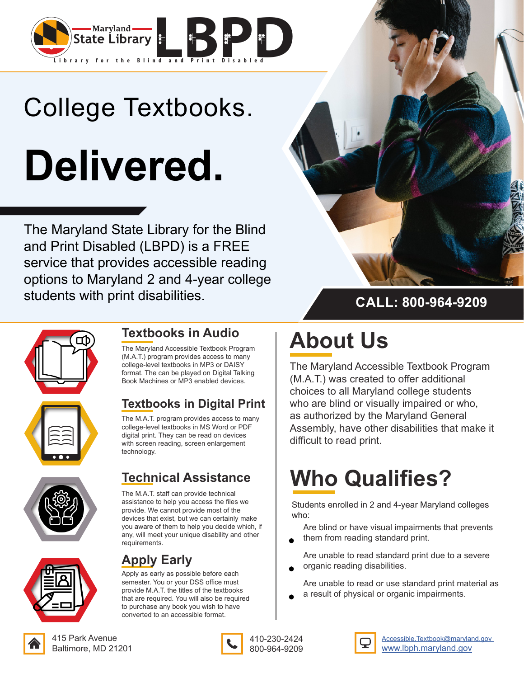

# College Textbooks. **Delivered.**

The Maryland State Library for the Blind and Print Disabled (LBPD) is a FREE service that provides accessible reading options to Maryland 2 and 4-year college students with print disabilities.







### **Textbooks in Audio**

The Maryland Accessible Textbook Program (M.A.T.) program provides access to many college-level textbooks in MP3 or DAISY format. The can be played on Digital Talking Book Machines or MP3 enabled devices.

### **Textbooks in Digital Print**

The M.A.T. program provides access to many college-level textbooks in MS Word or PDF digital print. They can be read on devices with screen reading, screen enlargement technology.

### **Technical Assistance**

The M.A.T. staff can provide technical assistance to help you access the files we provide. We cannot provide most of the devices that exist, but we can certainly make you aware of them to help you decide which, if any, will meet your unique disability and other requirements.



#### **Apply Early**

Apply as early as possible before each semester. You or your DSS office must provide M.A.T. the titles of the textbooks that are required. You will also be required to purchase any book you wish to have converted to an accessible format.

### **CALL: 800-964-9209**

## **About Us**

The Maryland Accessible Textbook Program (M.A.T.) was created to offer additional choices to all Maryland college students who are blind or visually impaired or who, as authorized by the Maryland General Assembly, have other disabilities that make it difficult to read print.

### **Who Qualifies?**

Students enrolled in 2 and 4-year Maryland colleges who:

Are blind or have visual impairments that prevents them from reading standard print.

Are unable to read standard print due to a severe organic reading disabilities.

Are unable to read or use standard print material as a result of physical or organic impairments.